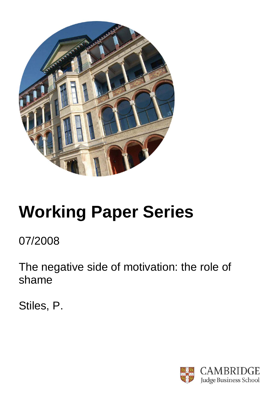

# **Working Paper Series**

07/2008

The negative side of motivation: the role of shame

Stiles, P.

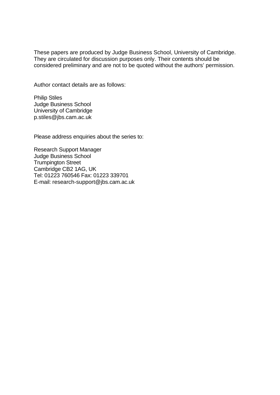These papers are produced by Judge Business School, University of Cambridge. They are circulated for discussion purposes only. Their contents should be considered preliminary and are not to be quoted without the authors' permission.

Author contact details are as follows:

Philip Stiles Judge Business School University of Cambridge p.stiles@jbs.cam.ac.uk

Please address enquiries about the series to:

Research Support Manager Judge Business School Trumpington Street Cambridge CB2 1AG, UK Tel: 01223 760546 Fax: 01223 339701 E-mail: research-support@jbs.cam.ac.uk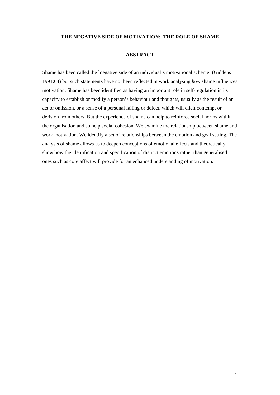### **THE NEGATIVE SIDE OF MOTIVATION: THE ROLE OF SHAME**

## **ABSTRACT**

Shame has been called the `negative side of an individual's motivational scheme' (Giddens 1991:64) but such statements have not been reflected in work analysing *how* shame influences motivation. Shame has been identified as having an important role in self-regulation in its capacity to establish or modify a person's behaviour and thoughts, usually as the result of an act or omission, or a sense of a personal failing or defect, which will elicit contempt or derision from others. But the experience of shame can help to reinforce social norms within the organisation and so help social cohesion. We examine the relationship between shame and work motivation. We identify a set of relationships between the emotion and goal setting. The analysis of shame allows us to deepen conceptions of emotional effects and theoretically show how the identification and specification of distinct emotions rather than generalised ones such as core affect will provide for an enhanced understanding of motivation.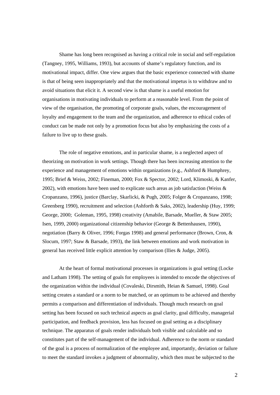Shame has long been recognised as having a critical role in social and self-regulation (Tangney, 1995, Williams, 1993), but accounts of shame's regulatory function, and its motivational impact, differ. One view argues that the basic experience connected with shame is that of being seen inappropriately and that the motivational impetus is to withdraw and to avoid situations that elicit it. A second view is that shame is a useful emotion for organisations in motivating individuals to perform at a reasonable level. From the point of view of the organisation, the promoting of corporate goals, values, the encouragement of loyalty and engagement to the team and the organization, and adherence to ethical codes of conduct can be made not only by a promotion focus but also by emphasizing the costs of a failure to live up to these goals.

The role of negative emotions, and in particular shame, is a neglected aspect of theorizing on motivation in work settings. Though there has been increasing attention to the experience and management of emotions within organizations (e.g., Ashford & Humphrey, 1995; Brief & Weiss, 2002; Fineman, 2000; Fox & Spector, 2002; Lord, Klimoski, & Kanfer, 2002), with emotions have been used to explicate such areas as job satisfaction (Weiss  $\&$ Cropanzano, 1996), justice (Barclay, Skarlicki, & Pugh, 2005; Folger & Cropanzano, 1998; Greenberg 1990), recruitment and selection (Ashforth & Saks, 2002), leadership (Huy, 1999; George, 2000; Goleman, 1995, 1998) creativity (Amabile, Barsade, Mueller, & Staw 2005; Isen, 1999, 2000) organizational citizenship behavior (George & Bettenhausen, 1990), negotiation (Barry & Oliver, 1996; Forgas 1998) and general performance (Brown, Cron, & Slocum, 1997; Staw & Barsade, 1993), the link between emotions and work motivation in general has received little explicit attention by comparison (IIies & Judge, 2005).

At the heart of formal motivational processes in organizations is goal setting (Locke and Latham 1998). The setting of goals for employees is intended to encode the objectives of the organization within the individual (Covaleski, Dirsmith, Heian & Samuel, 1998). Goal setting creates a standard or a norm to be matched, or an optimum to be achieved and thereby permits a comparison and differentiation of individuals. Though much research on goal setting has been focused on such technical aspects as goal clarity, goal difficulty, managerial participation, and feedback provision, less has focused on goal setting as a disciplinary technique. The apparatus of goals render individuals both visible and calculable and so constitutes part of the self-management of the individual. Adherence to the norm or standard of the goal is a process of normalization of the employee and, importantly, deviation or failure to meet the standard invokes a judgment of abnormality, which then must be subjected to the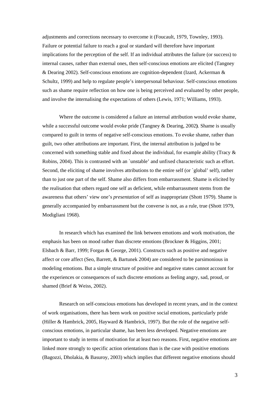adjustments and corrections necessary to overcome it (Foucault, 1979, Townley, 1993). Failure or potential failure to reach a goal or standard will therefore have important implications for the perception of the self. If an individual attributes the failure (or success) to internal causes, rather than external ones, then self-conscious emotions are elicited (Tangney & Dearing 2002). Self-conscious emotions are cognition-dependent (Izard, Ackerman & Schultz, 1999) and help to regulate people's interpersonal behaviour. Self-conscious emotions such as shame require reflection on how one is being perceived and evaluated by other people, and involve the internalising the expectations of others (Lewis, 1971; Williams, 1993).

Where the outcome is considered a failure an internal attribution would evoke shame, while a successful outcome would evoke pride (Tangney & Dearing, 2002**)**. Shame is usually compared to guilt in terms of negative self-conscious emotions. To evoke shame, rather than guilt, two other attributions are important. First, the internal attribution is judged to be concerned with something stable and fixed about the individual, for example ability (Tracy & Robins, 2004). This is contrasted with an `unstable' and unfixed characteristic such as effort. Second, the eliciting of shame involves attributions to the entire self (or `global' self), rather than to just one part of the self. Shame also differs from embarrassment. Shame is elicited by the realisation that others regard one self as deficient, while embarrassment stems from the awareness that others' view one's *presentation* of self as inappropriate (Shott 1979). Shame is generally accompanied by embarrassment but the converse is not, as a rule, true (Shott 1979, Modigliani 1968).

In research which has examined the link between emotions and work motivation, the emphasis has been on mood rather than discrete emotions (Brockner & Higgins, 2001; Elsbach & Barr, 1999; Forgas & George, 2001). Constructs such as positive and negative affect or core affect (Seo, Barrett, & Bartunek 2004) are considered to be parsimonious in modeling emotions. But a simple structure of positive and negative states cannot account for the experiences or consequences of such discrete emotions as feeling angry, sad, proud, or shamed (Brief & Weiss, 2002).

Research on self-conscious emotions has developed in recent years, and in the context of work organisations, there has been work on positive social emotions, particularly pride (Hiller & Hambrick, 2005, Hayward & Hambrick, 1997). But the role of the negative selfconscious emotions, in particular shame, has been less developed. Negative emotions are important to study in terms of motivation for at least two reasons. First, negative emotions are linked more strongly to specific action orientations than is the case with positive emotions (Bagozzi, Dholakia, & Basuroy, 2003) which implies that different negative emotions should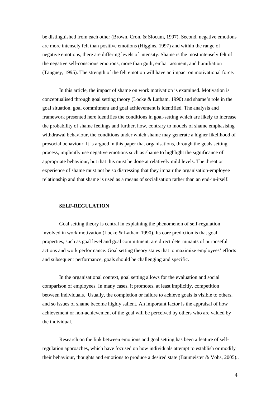be distinguished from each other (Brown, Cron, & Slocum, 1997). Second, negative emotions are more intensely felt than positive emotions (Higgins, 1997) and within the range of negative emotions, there are differing levels of intensity. Shame is the most intensely felt of the negative self-conscious emotions, more than guilt, embarrassment, and humiliation (Tangney, 1995). The strength of the felt emotion will have an impact on motivational force.

In this article, the impact of shame on work motivation is examined. Motivation is conceptualised through goal setting theory (Locke & Latham, 1990) and shame's role in the goal situation, goal commitment and goal achievement is identified. The analysis and framework presented here identifies the conditions in goal-setting which are likely to increase the probability of shame feelings and further, how, contrary to models of shame emphasising withdrawal behaviour, the conditions under which shame may generate a higher likelihood of prosocial behaviour. It is argued in this paper that organisations, through the goals setting process, implicitly use negative emotions such as shame to highlight the significance of appropriate behaviour, but that this must be done at relatively mild levels. The threat or experience of shame must not be so distressing that they impair the organisation-employee relationship and that shame is used as a means of socialisation rather than an end-in-itself.

# **SELF-REGULATION**

Goal setting theory is central in explaining the phenomenon of self-regulation involved in work motivation (Locke & Latham 1990). Its core prediction is that goal properties, such as goal level and goal commitment, are direct determinants of purposeful actions and work performance. Goal setting theory states that to maximize employees' efforts and subsequent performance, goals should be challenging and specific.

In the organisational context, goal setting allows for the evaluation and social comparison of employees. In many cases, it promotes, at least implicitly, competition between individuals. Usually, the completion or failure to achieve goals is visible to others, and so issues of shame become highly salient. An important factor is the appraisal of how achievement or non-achievement of the goal will be perceived by others who are valued by the individual.

Research on the link between emotions and goal setting has been a feature of selfregulation approaches, which have focused on how individuals attempt to establish or modify their behaviour, thoughts and emotions to produce a desired state (Baumeister & Vohs, 2005)..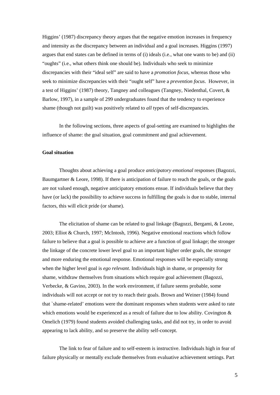Higgins' (1987) discrepancy theory argues that the negative emotion increases in frequency and intensity as the discrepancy between an individual and a goal increases. Higgins (1997) argues that end states can be defined in terms of (i) ideals (i.e., what one wants to be) and (ii) "oughts" (i.e., what others think one should be). Individuals who seek to minimize discrepancies with their "ideal self" are said to have a *promotion focus*, whereas those who seek to minimize discrepancies with their "ought self" have a *prevention focus*. However, in a test of Higgins' (1987) theory, Tangney and colleagues (Tangney, Niedenthal, Covert, & Barlow, 1997), in a sample of 299 undergraduates found that the tendency to experience shame (though not guilt) was positively related to *all* types of self-discrepancies.

In the following sections, three aspects of goal-setting are examined to highlights the influence of shame: the goal situation, goal commitment and goal achievement.

## **Goal situation**

Thoughts about achieving a goal produce *anticipatory emotional* responses (Bagozzi, Baumgartner & Leore, 1998). If there is anticipation of failure to reach the goals, or the goals are not valued enough, negative anticipatory emotions ensue. If individuals believe that they have (or lack) the possibility to achieve success in fulfilling the goals is due to stable, internal factors, this will elicit pride (or shame).

The elicitation of shame can be related to goal linkage (Bagozzi, Bergami, & Leone, 2003; Elliot & Church, 1997; McIntosh, 1996). Negative emotional reactions which follow failure to believe that a goal is possible to achieve are a function of goal linkage; the stronger the linkage of the concrete lower level goal to an important higher order goals, the stronger and more enduring the emotional response. Emotional responses will be especially strong when the higher level goal is *ego relevant*. Individuals high in shame, or propensity for shame, withdraw themselves from situations which require goal achievement (Bagozzi, Verbecke, & Gavino, 2003). In the work environment, if failure seems probable, some individuals will not accept or not try to reach their goals. Brown and Weiner (1984) found that `shame-related' emotions were the dominant responses when students were asked to rate which emotions would be experienced as a result of failure due to low ability. Covington & Omelich (1979) found students avoided challenging tasks, and did not try, in order to avoid appearing to lack ability, and so preserve the ability self-concept.

The link to fear of failure and to self-esteem is instructive. Individuals high in fear of failure physically or mentally exclude themselves from evaluative achievement settings. Part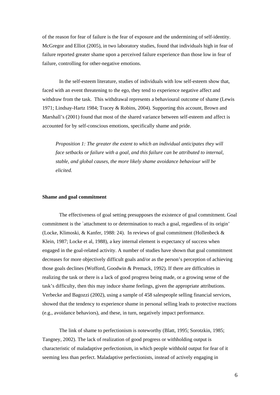of the reason for fear of failure is the fear of exposure and the undermining of self-identity. McGregor and Elliot (2005), in two laboratory studies, found that individuals high in fear of failure reported greater shame upon a perceived failure experience than those low in fear of failure, controlling for other-negative emotions.

In the self-esteem literature, studies of individuals with low self-esteem show that, faced with an event threatening to the ego, they tend to experience negative affect and withdraw from the task. This withdrawal represents a behavioural outcome of shame (Lewis 1971; Lindsay-Hartz 1984; Tracey & Robins, 2004). Supporting this account, Brown and Marshall's (2001) found that most of the shared variance between self-esteem and affect is accounted for by self-conscious emotions, specifically shame and pride.

*Proposition 1: The greater the extent to which an individual anticipates they will face setbacks or failure with a goal, and this failure can be attributed to internal, stable, and global causes, the more likely shame avoidance behaviour will be elicited.* 

### **Shame and goal commitment**

The effectiveness of goal setting presupposes the existence of goal commitment. Goal commitment is the `attachment to or determination to reach a goal, regardless of its origin' (Locke, Klimoski, & Kanfer, 1988: 24). In reviews of goal commitment (Hollenbeck & Klein, 1987; Locke et al, 1988), a key internal element is expectancy of success when engaged in the goal-related activity. A number of studies have shown that goal commitment decreases for more objectively difficult goals and/or as the person's perception of achieving those goals declines (Wofford, Goodwin & Premack, 1992). If there are difficulties in realizing the task or there is a lack of good progress being made, or a growing sense of the task's difficulty, then this may induce shame feelings, given the appropriate attributions. Verbecke and Bagozzi (2002), using a sample of 458 salespeople selling financial services, showed that the tendency to experience shame in personal selling leads to protective reactions (e.g., avoidance behaviors), and these, in turn, negatively impact performance.

The link of shame to perfectionism is noteworthy (Blatt, 1995; Sorotzkin, 1985; Tangney, 2002). The lack of realization of good progress or withholding output is characteristic of maladaptive perfectionism, in which people withhold output for fear of it seeming less than perfect. Maladaptive perfectionists, instead of actively engaging in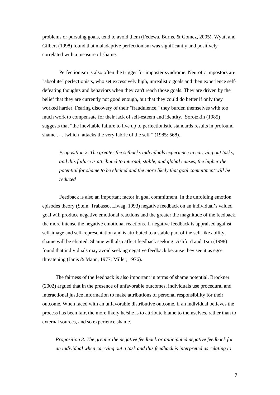problems or pursuing goals, tend to avoid them (Fedewa, Burns, & Gomez, 2005). Wyatt and Gilbert (1998) found that maladaptive perfectionism was significantly and positively correlated with a measure of shame.

Perfectionism is also often the trigger for imposter syndrome. Neurotic impostors are "absolute" perfectionists, who set excessively high, unrealistic goals and then experience selfdefeating thoughts and behaviors when they can't reach those goals. They are driven by the belief that they are currently not good enough, but that they could do better if only they worked harder. Fearing discovery of their "fraudulence," they burden themselves with too much work to compensate for their lack of self-esteem and identity. Sorotzkin (1985) suggests that "the inevitable failure to live up to perfectionistic standards results in profound shame . . . [which] attacks the very fabric of the self " (1985: 568).

*Proposition 2. The greater the setbacks individuals experience in carrying out tasks, and this failure is attributed to internal, stable, and global causes, the higher the potential for shame to be elicited and the more likely that goal commitment will be reduced* 

Feedback is also an important factor in goal commitment. In the unfolding emotion episodes theory (Stein, Trabasso, Liwag, 1993) negative feedback on an individual's valued goal will produce negative emotional reactions and the greater the magnitude of the feedback, the more intense the negative emotional reactions. If negative feedback is appraised against self-image and self-representation and is attributed to a stable part of the self like ability, shame will be elicited. Shame will also affect feedback seeking. Ashford and Tsui (1998) found that individuals may avoid seeking negative feedback because they see it as egothreatening (Janis & Mann, 1977; Miller, 1976).

The fairness of the feedback is also important in terms of shame potential. Brockner (2002) argued that in the presence of unfavorable outcomes, individuals use procedural and interactional justice information to make attributions of personal responsibility for their outcome. When faced with an unfavorable distributive outcome, if an individual believes the process has been fair, the more likely he/she is to attribute blame to themselves, rather than to external sources, and so experience shame.

*Proposition 3. The greater the negative feedback or anticipated negative feedback for an individual when carrying out a task and this feedback is interpreted as relating to*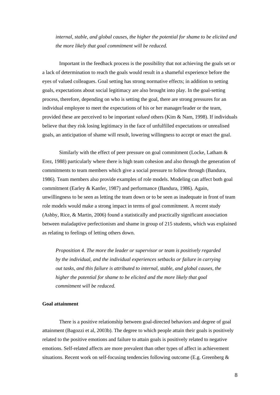*internal, stable, and global causes, the higher the potential for shame to be elicited and the more likely that goal commitment will be reduced.* 

Important in the feedback process is the possibility that not achieving the goals set or a lack of determination to reach the goals would result in a shameful experience before the eyes of valued colleagues. Goal setting has strong normative effects; in addition to setting goals, expectations about social legitimacy are also brought into play. In the goal-setting process, therefore, depending on who is setting the goal, there are strong pressures for an individual employee to meet the expectations of his or her manager/leader or the team, provided these are perceived to be important *valued* others (Kim & Nam, 1998). If individuals believe that they risk losing legitimacy in the face of unfulfilled expectations or unrealised goals, an anticipation of shame will result, lowering willingness to accept or enact the goal.

Similarly with the effect of peer pressure on goal commitment (Locke, Latham & Erez, 1988) particularly where there is high team cohesion and also through the generation of commitments to team members which give a social pressure to follow through (Bandura, 1986). Team members also provide examples of role models. Modeling can affect both goal commitment (Earley & Kanfer, 1987) and performance (Bandura, 1986). Again, unwillingness to be seen as letting the team down or to be seen as inadequate in front of team role models would make a strong impact in terms of goal commitment. A recent study (Ashby, Rice, & Martin, 2006) found a statistically and practically significant association between maladaptive perfectionism and shame in group of 215 students, which was explained as relating to feelings of letting others down.

*Proposition 4. The more the leader or supervisor or team is positively regarded by the individual, and the individual experiences setbacks or failure in carrying out tasks, and this failure is attributed to internal, stable, and global causes, the higher the potential for shame to be elicited and the more likely that goal commitment will be reduced.*

#### **Goal attainment**

There is a positive relationship between goal-directed behaviors and degree of goal attainment (Bagozzi et al, 2003b). The degree to which people attain their goals is positively related to the positive emotions and failure to attain goals is positively related to negative emotions. Self-related affects are more prevalent than other types of affect in achievement situations. Recent work on self-focusing tendencies following outcome (E.g. Greenberg &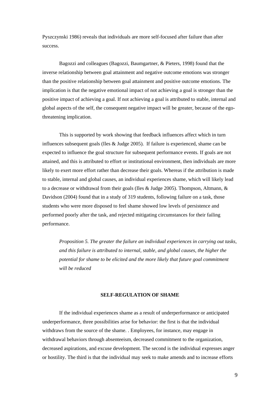Pyszczynski 1986) reveals that individuals are more self-focused after failure than after success.

Bagozzi and colleagues (Bagozzi, Baumgartner, & Pieters, 1998) found that the inverse relationship between goal attainment and negative outcome emotions was stronger than the positive relationship between goal attainment and positive outcome emotions. The implication is that the negative emotional impact of not achieving a goal is stronger than the positive impact of achieving a goal. If not achieving a goal is attributed to stable, internal and global aspects of the self, the consequent negative impact will be greater, because of the egothreatening implication.

This is supported by work showing that feedback influences affect which in turn influences subsequent goals (Iles & Judge 2005). If failure is experienced, shame can be expected to influence the goal structure for subsequent performance events. If goals are not attained, and this is attributed to effort or institutional environment, then individuals are more likely to exert more effort rather than decrease their goals. Whereas if the attribution is made to stable, internal and global causes, an individual experiences shame, which will likely lead to a decrease or withdrawal from their goals (Iles & Judge 2005). Thompson, Altmann, & Davidson (2004) found that in a study of 319 students, following failure on a task, those students who were more disposed to feel shame showed low levels of persistence and performed poorly after the task, and rejected mitigating circumstances for their failing performance.

*Proposition 5. The greater the failure an individual experiences in carrying out tasks, and this failure is attributed to internal, stable, and global causes, the higher the potential for shame to be elicited and the more likely that future goal commitment will be reduced* 

## **SELF-REGULATION OF SHAME**

If the individual experiences shame as a result of underperformance or anticipated underperformance, three possibilities arise for behavior: the first is that the individual withdraws from the source of the shame. . Employees, for instance, may engage in withdrawal behaviors through absenteeism, decreased commitment to the organization, decreased aspirations, and excuse development. The second is the individual expresses anger or hostility. The third is that the individual may seek to make amends and to increase efforts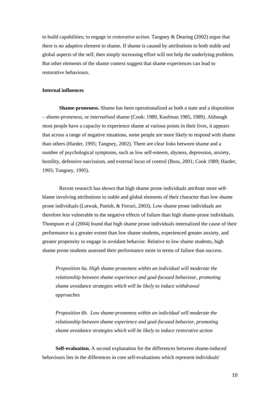to build capabilities; to engage in *restorative action*. Tangney & Dearing (2002) argue that there is no adaptive element to shame. If shame is caused by attributions to both stable and global aspects of the self, then simply increasing effort will not help the underlying problem. But other elements of the shame context suggest that shame experiences can lead to restorative behaviours.

## **Internal influences**

**Shame-proneness.** Shame has been operationalized as both a state and a disposition – *shame-proneness,* or *internalised* shame (Cook: 1989, Kaufman 1985, 1989). Although most people have a capacity to experience shame at various points in their lives, it appears that across a range of negative situations, some people are more likely to respond with shame than others (Harder, 1995; Tangney, 2002). There are clear links between shame and a number of psychological symptoms, such as low self-esteem, shyness, depression, anxiety, hostility, defensive narcissism, and external locus of control (Buss, 2001; Cook 1989; Harder, 1995; Tangney, 1995).

Recent research has shown that high shame prone individuals attribute more selfblame involving attributions to stable and global elements of their character than low shame prone individuals (Lutwak, Panish, & Ferrari, 2003). Low shame prone individuals are therefore less vulnerable to the negative effects of failure than high shame-prone individuals. Thompson et al (2004) found that high shame prone individuals internalized the cause of their performance to a greater extent than low shame students, experienced greater anxiety, and greater propensity to engage in avoidant behavior. Relative to low shame students, high shame prone students assessed their performance more in terms of failure than success.

*Proposition 6a. High shame-proneness within an individual will moderate the relationship between shame experience and goal-focused behaviour, promoting shame avoidance strategies which will be likely to induce withdrawal approaches* 

*Proposition 6b. Low shame-proneness within an individual will moderate the relationship between shame experience and goal-focused behavior, promoting shame avoidance strategies which will be likely to induce restorative action* 

**Self-evaluation.** A second explanation for the differences between shame-induced behaviours lies in the differences in core self-evaluations which represent individuals'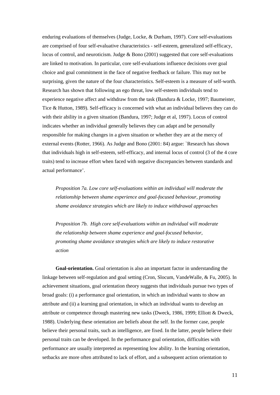enduring evaluations of themselves (Judge, Locke, & Durham, 1997). Core self-evaluations are comprised of four self-evaluative characteristics - self-esteem, generalized self-efficacy, locus of control, and neuroticism. Judge & Bono (2001) suggested that core self-evaluations are linked to motivation. In particular, core self-evaluations influence decisions over goal choice and goal commitment in the face of negative feedback or failure. This may not be surprising, given the nature of the four characteristics. Self-esteem is a measure of self-worth. Research has shown that following an ego threat, low self-esteem individuals tend to experience negative affect and withdraw from the task (Bandura & Locke, 1997; Baumeister, Tice & Hutton, 1989). Self-efficacy is concerned with what an individual believes they can do with their ability in a given situation (Bandura, 1997; Judge et al, 1997). Locus of control indicates whether an individual generally believes they can adapt and be personally responsible for making changes in a given situation or whether they are at the mercy of external events (Rotter, 1966). As Judge and Bono (2001: 84) argue: `Research has shown that individuals high in self-esteem, self-efficacy, and internal locus of control (3 of the 4 core traits) tend to increase effort when faced with negative discrepancies between standards and actual performance'.

*Proposition 7a. Low core self-evaluations within an individual will moderate the relationship between shame experience and goal-focused behaviour, promoting shame avoidance strategies which are likely to induce withdrawal approaches* 

*Proposition 7b. High core self-evaluations within an individual will moderate the relationship between shame experience and goal-focused behavior, promoting shame avoidance strategies which are likely to induce restorative action* 

**Goal-orientation.** Goal orientation is also an important factor in understanding the linkage between self-regulation and goal setting (Cron, Slocum, VandeWalle, & Fu, 2005). In achievement situations, goal orientation theory suggests that individuals pursue two types of broad goals: (i) a performance goal orientation, in which an individual wants to show an attribute and (ii) a learning goal orientation, in which an individual wants to develop an attribute or competence through mastering new tasks (Dweck, 1986, 1999; Elliott & Dweck, 1988). Underlying these orientation are beliefs about the self. In the former case, people believe their personal traits, such as intelligence, are fixed. In the latter, people believe their personal traits can be developed. In the performance goal orientation, difficulties with performance are usually interpreted as representing low ability. In the learning orientation, setbacks are more often attributed to lack of effort, and a subsequent action orientation to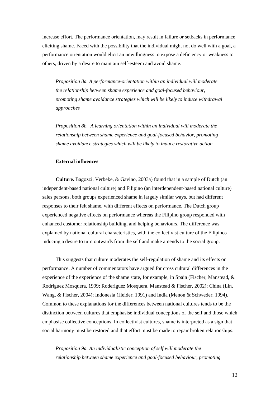increase effort. The performance orientation, may result in failure or setbacks in performance eliciting shame. Faced with the possibility that the individual might not do well with a goal, a performance orientation would elicit an unwillingness to expose a deficiency or weakness to others, driven by a desire to maintain self-esteem and avoid shame.

*Proposition 8a. A performance-orientation within an individual will moderate the relationship between shame experience and goal-focused behaviour, promoting shame avoidance strategies which will be likely to induce withdrawal approaches* 

*Proposition 8b. A learning orientation within an individual will moderate the relationship between shame experience and goal-focused behavior, promoting shame avoidance strategies which will be likely to induce restorative action* 

## **External influences**

**Culture.** Bagozzi, Verbeke, & Gavino, 2003a) found that in a sample of Dutch (an independent-based national culture) and Filipino (an interdependent-based national culture) sales persons, both groups experienced shame in largely similar ways, but had different responses to their felt shame, with different effects on performance. The Dutch group experienced negative effects on performance whereas the Filipino group responded with enhanced customer relationship building, and helping behaviours. The difference was explained by national cultural characteristics, with the collectivist culture of the Filipinos inducing a desire to turn outwards from the self and make amends to the social group.

This suggests that culture moderates the self-regulation of shame and its effects on performance. A number of commentators have argued for cross cultural differences in the experience of the experience of the shame state, for example, in Spain (Fischer, Manstead, & Rodriguez Mosquera, 1999; Roderiguez Mosquera, Manstead & Fischer, 2002); China (Lin, Wang, & Fischer, 2004); Indonesia (Heider, 1991) and India (Menon & Schweder, 1994). Common to these explanations for the differences between national cultures tends to be the distinction between cultures that emphasise individual conceptions of the self and those which emphasise collective conceptions. In collectivist cultures, shame is interpreted as a sign that social harmony must be restored and that effort must be made to repair broken relationships.

*Proposition 9a. An individualistic conception of self will moderate the relationship between shame experience and goal-focused behaviour, promoting*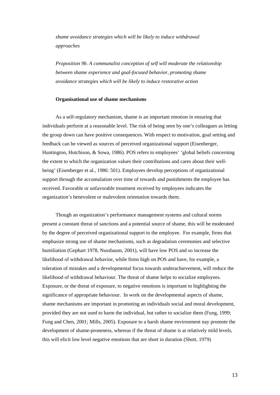*shame avoidance strategies which will be likely to induce withdrawal approaches* 

*Proposition 9b. A communalist conception of self will moderate the relationship between shame experience and goal-focused behavior, promoting shame avoidance strategies which will be likely to induce restorative action* 

#### **Organisational use of shame mechanisms**

As a self-regulatory mechanism, shame is an important emotion in ensuring that individuals perform at a reasonable level. The risk of being seen by one's colleagues as letting the group down can have positive consequences. With respect to motivation, goal setting and feedback can be viewed as sources of perceived organizational support (Eisenberger, Huntington, Hutchison, & Sowa, 1986). POS refers to employees' 'global beliefs concerning the extent to which the organization values their contributions and cares about their wellbeing' (Eisenberger et al., 1986: 501). Employees develop perceptions of organizational support through the accumulation over time of rewards and punishments the employee has received. Favorable or unfavorable treatment received by employees indicates the organization's benevolent or malevolent orientation towards them.

Though an organization's performance management systems and cultural norms present a constant threat of sanctions and a potential source of shame, this will be moderated by the degree of perceived organizational support to the employee. For example, firms that emphasize strong use of shame mechanisms, such as degradation ceremonies and selective humiliation (Gephart 1978, Nussbaum, 2001), will have low POS and so increase the likelihood of withdrawal behavior, while firms high on POS and have, for example, a toleration of mistakes and a developmental focus towards underachievement, will reduce the likelihood of withdrawal behaviour. The threat of shame helps to socialize employees. Exposure, or the threat of exposure, to negative emotions is important to highlighting the significance of appropriate behaviour. In work on the developmental aspects of shame, shame mechanisms are important in promoting an individuals social and moral development, provided they are not used to harm the individual, but rather to socialize them (Fung, 1999; Fung and Chen, 2001; Mills, 2005). Exposure to a harsh shame environment nay promote the development of shame-proneness, whereas if the threat of shame is at relatively mild levels, this will elicit low level negative emotions that are short in duration (Shott, 1979)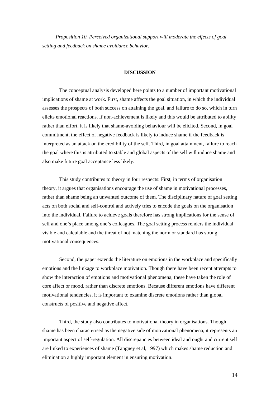*Proposition 10. Perceived organizational support will moderate the effects of goal setting and feedback on shame avoidance behavior.*

#### **DISCUSSION**

The conceptual analysis developed here points to a number of important motivational implications of shame at work. First, shame affects the goal situation, in which the individual assesses the prospects of both success on attaining the goal, and failure to do so, which in turn elicits emotional reactions. If non-achievement is likely and this would be attributed to ability rather than effort, it is likely that shame-avoiding behaviour will be elicited. Second, in goal commitment, the effect of negative feedback is likely to induce shame if the feedback is interpreted as an attack on the credibility of the self. Third, in goal attainment, failure to reach the goal where this is attributed to stable and global aspects of the self will induce shame and also make future goal acceptance less likely.

This study contributes to theory in four respects: First, in terms of organisation theory, it argues that organisations encourage the use of shame in motivational processes, rather than shame being an unwanted outcome of them. The disciplinary nature of goal setting acts on both social and self-control and actively tries to encode the goals on the organisation into the individual. Failure to achieve goals therefore has strong implications for the sense of self and one's place among one's colleagues. The goal setting process renders the individual visible and calculable and the threat of not matching the norm or standard has strong motivational consequences.

Second, the paper extends the literature on emotions in the workplace and specifically emotions and the linkage to workplace motivation. Though there have been recent attempts to show the interaction of emotions and motivational phenomena, these have taken the role of core affect or mood, rather than discrete emotions. Because different emotions have different motivational tendencies, it is important to examine discrete emotions rather than global constructs of positive and negative affect.

Third, the study also contributes to motivational theory in organisations. Though shame has been characterised as the negative side of motivational phenomena, it represents an important aspect of self-regulation. All discrepancies between ideal and ought and current self are linked to experiences of shame (Tangney et al, 1997) which makes shame reduction and elimination a highly important element in ensuring motivation.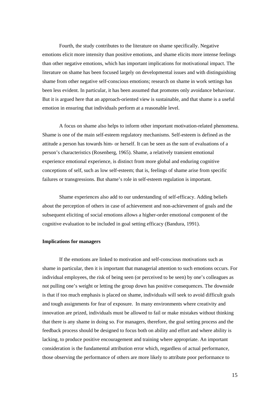Fourth, the study contributes to the literature on shame specifically. Negative emotions elicit more intensity than positive emotions, and shame elicits more intense feelings than other negative emotions, which has important implications for motivational impact. The literature on shame has been focused largely on developmental issues and with distinguishing shame from other negative self-conscious emotions; research on shame in work settings has been less evident. In particular, it has been assumed that promotes only avoidance behaviour. But it is argued here that an approach-oriented view is sustainable, and that shame is a useful emotion in ensuring that individuals perform at a reasonable level.

A focus on shame also helps to inform other important motivation-related phenomena. Shame is one of the main self-esteem regulatory mechanisms. Self-esteem is defined as the attitude a person has towards him- or herself. It can be seen as the sum of evaluations of a person's characteristics (Rosenberg, 1965). Shame, a relatively transient emotional experience emotional experience, is distinct from more global and enduring cognitive conceptions of self, such as low self-esteem; that is, feelings of shame arise from specific failures or transgressions. But shame's role in self-esteem regulation is important.

Shame experiences also add to our understanding of self-efficacy. Adding beliefs about the perception of others in case of achievement and non-achievement of goals and the subsequent eliciting of social emotions allows a higher-order emotional component of the cognitive evaluation to be included in goal setting efficacy (Bandura, 1991).

#### **Implications for managers**

If the emotions are linked to motivation and self-conscious motivations such as shame in particular, then it is important that managerial attention to such emotions occurs. For individual employees, the risk of being seen (or perceived to be seen) by one's colleagues as not pulling one's weight or letting the group down has positive consequences. The downside is that if too much emphasis is placed on shame, individuals will seek to avoid difficult goals and tough assignments for fear of exposure. In many environments where creativity and innovation are prized, individuals must be allowed to fail or make mistakes without thinking that there is any shame in doing so. For managers, therefore, the goal setting process and the feedback process should be designed to focus both on ability and effort and where ability is lacking, to produce positive encouragement and training where appropriate. An important consideration is the fundamental attribution error which, regardless of actual performance, those observing the performance of others are more likely to attribute poor performance to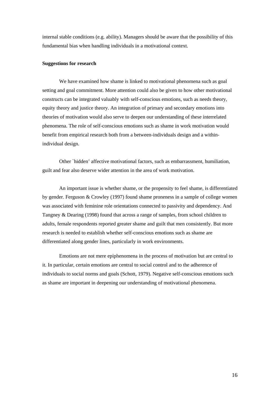internal stable conditions (e.g. ability). Managers should be aware that the possibility of this fundamental bias when handling individuals in a motivational context.

#### **Suggestions for research**

We have examined how shame is linked to motivational phenomena such as goal setting and goal commitment. More attention could also be given to how other motivational constructs can be integrated valuably with self-conscious emotions, such as needs theory, equity theory and justice theory. An integration of primary and secondary emotions into theories of motivation would also serve to deepen our understanding of these interrelated phenomena. The role of self-conscious emotions such as shame in work motivation would benefit from empirical research both from a between-individuals design and a withinindividual design.

Other `hidden' affective motivational factors, such as embarrassment, humiliation, guilt and fear also deserve wider attention in the area of work motivation.

An important issue is whether shame, or the propensity to feel shame, is differentiated by gender. Ferguson & Crowley (1997) found shame proneness in a sample of college women was associated with feminine role orientations connected to passivity and dependency. And Tangney & Dearing (1998) found that across a range of samples, from school children to adults, female respondents reported greater shame and guilt that men consistently. But more research is needed to establish whether self-conscious emotions such as shame are differentiated along gender lines, particularly in work environments.

Emotions are not mere epiphenomena in the process of motivation but are central to it. In particular, certain emotions are central to social control and to the adherence of individuals to social norms and goals (Schott, 1979). Negative self-conscious emotions such as shame are important in deepening our understanding of motivational phenomena.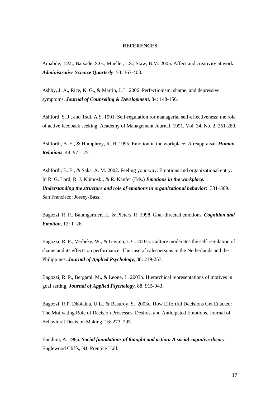#### **REFERENCES**

Amabile, T.M., Barsade, S.G., Mueller, J.S., Staw, B.M. 2005. Affect and creativity at work. *Administrative Science Quarterly*. 50: 367-403.

Ashby, J. A., Rice, K. G., & Martin, J. L. 2006. Perfectionism, shame, and depressive symptoms. *Journal of Counseling & Development*, 84: 148-156.

Ashford, S. J., and Tsui, A.S. 1991. Self-regulation for managerial self-effectiveness: the role of active feedback seeking. Academy of Management Journal, 1991. Vol. 34, No. 2. 251-280.

Ashforth, B. E., & Humphrey, R. H. 1995. Emotion in the workplace: A reappraisal. *Human Relations,* 48: 97–125.

Ashforth, B. E., & Saks, A. M. 2002. Feeling your way: Emotions and organizational entry. In R. G. Lord, R. J. Klimoski, & R. Kanfer (Eds.) *Emotions in the workplace: Understanding the structure and role of emotions in organizational behavior***:** 331–369. San Francisco: Jossey-Bass.

Bagozzi, R. P., Baumgartner, H., & Pieters, R. 1998. Goal-directed emotions. *Cognition and Emotion,* 12: 1–26.

Bagozzi, R. P., Verbeke, W., & Gavino, J. C. 2003a. Culture moderates the self-regulation of shame and its effects on performance: The case of salespersons in the Netherlands and the Philippines. *Journal of Applied Psychology*, 88: 219-253.

Bagozzi, R. P., Bergami, M., & Leone, L. 2003b. Hierarchical representations of motives in goal setting. *Journal of Applied Psychology*, 88: 915-943.

Bagozzi, R.P, Dholakia, U.L., & Basuroy, S. 2003c. How Effortful Decisions Get Enacted: The Motivating Role of Decision Processes, Desires, and Anticipated Emotions, Journal of Behavioral Decision Making, 16: 273–295.

Bandura, A. 1986. *Social foundations of thought and action: A social cognitive theory.*  Englewood Cliffs, NJ: Prentice Hall.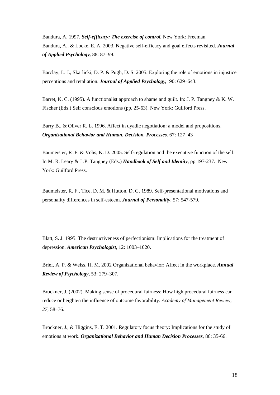Bandura, A. 1997. *Self-efficacy: The exercise of control.* New York: Freeman. Bandura, A., & Locke, E. A. 2003. Negative self-efficacy and goal effects revisited. *Journal of Applied Psychology,* 88: 87–99.

Barclay, L. J., Skarlicki, D. P. & Pugh, D. S. 2005. Exploring the role of emotions in injustice perceptions and retaliation. *Journal of Applied Psychology,* 90: 629–643.

Barret, K. C. (1995). A functionalist approach to shame and guilt. In: J. P. Tangney & K. W. Fischer (Eds.) Self conscious emotions (pp. 25-63). New York: Guilford Press.

Barry B., & Oliver R. L. 1996. Affect in dyadic negotiation: a model and propositions. *Organizational Behavior and Human. Decision. Processes.* 67: 127–43

Baumeister, R .F. & Vohs, K. D. 2005. Self-regulation and the executive function of the self. In M. R. Leary & J .P. Tangney (Eds.) *Handbook of Self and Identity*, pp 197-237. New York: Guilford Press.

Baumeister, R. F., Tice, D. M. & Hutton, D. G. 1989. Self-presentational motivations and personality differences in self-esteem. *Journal of Personality*, 57: 547-579.

Blatt, S. J. 1995. The destructiveness of perfectionism: Implications for the treatment of depression. *American Psychologist,* 12: 1003–1020.

Brief, A. P. & Weiss, H. M. 2002 Organizational behavior: Affect in the workplace. *Annual Review of Psychology*, 53: 279–307.

Brockner, J. (2002). Making sense of procedural fairness: How high procedural fairness can reduce or heighten the influence of outcome favorability. *Academy of Management Review, 27,* 58–76.

Brockner, J., & Higgins, E. T. 2001. Regulatory focus theory: Implications for the study of emotions at work. *Organizational Behavior and Human Decision Processes*, 86: 35-66.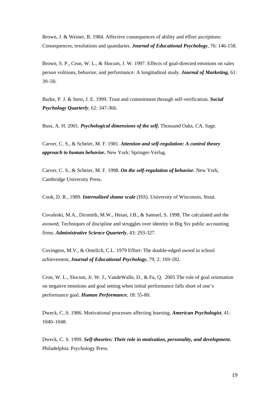Brown, J. & Weiner, B. 1984. Affective consequences of ability and effort ascriptions: Consequences, resolutions and quandaries. *Journal of Educational Psychology*, 76: 146-158.

Brown, S. P., Cron, W. L., & Slocum, J. W. 1997. Effects of goal-directed emotions on sales person volitions, behavior, and performance: A longitudinal study. *Journal of Marketing,* 61: 39–50.

Burke, P. J. & Stets, J. E. 1999. Trust and commitment through self-verification. *Social Psychology Quarterly*, 62: 347-366.

Buss, A. H. 2001. *Psychological dimensions of the self.* Thousand Oaks, CA. Sage.

Carver, C. S., & Scheier, M. F. 1981. *Attention and self-regulation: A control theory approach to human behavior.* New York: Springer-Verlag.

Carver, C. S., & Scheier, M. F. 1998. *On the self-regulation of behavior.* New York, Cambridge University Press.

Cook, D. R., 1989. *Internalized shame scale* (ISS). University of Wisconsin, Stout.

Covaleski, M.A., Dirsmith, M.W., Heian, J.B., & Samuel, S. 1998. The calculated and the avowed; Techniques of discipline and struggles over identity in Big Six public accounting firms. *Administrative Science Quarterly*, 43: 293-327.

Covington, M.V., & Omelich, C.L. 1979 Effort: The double-edged sword in school achievement, *Journal of Educational Psychology*, 79, 2: 169-182.

Cron, W. L., Slocum, Jr. W. J., VandeWalle, D., & Fu, Q. 2005 The role of goal orientation on negative emotions and goal setting when initial performance falls short of one's performance goal. *Human Performance*, 18: 55-80.

Dweck, C..S. 1986. Motivational processes affecting learning. *American Psychologist,* 41: 1040–1048.

Dweck, C. S. 1999. *Self-theories: Their role in motivation, personality, and development.*  Philadelphia: Psychology Press.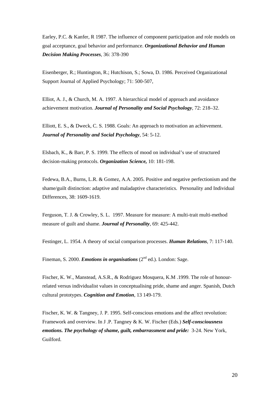Earley, P.C. & Kanfer, R 1987. The influence of component participation and role models on goal acceptance, goal behavior and performance. *Organizational Behavior and Human Decision Making Processes*, 36: 378-390

Eisenberger, R.; Huntington, R.; Hutchison, S.; Sowa, D. 1986. Perceived Organizational Support Journal of Applied Psychology; 71: 500-507,

Elliot, A. J., & Church, M. A. 1997. A hierarchical model of approach and avoidance achievement motivation. *Journal of Personality and Social Psychology,* 72: 218–32.

Elliott, E. S., & Dweck, C. S. 1988. Goals: An approach to motivation an achievement. *Journal of Personality and Social Psychology*, 54: 5-12.

Elsbach, K., & Barr, P. S. 1999. The effects of mood on individual's use of structured decision-making protocols. *Organization Science,* 10: 181-198.

Fedewa, B.A., Burns, L.R. & Gomez, A.A. 2005. Positive and negative perfectionism and the shame/guilt distinction: adaptive and maladaptive characteristics. Personality and Individual Differences, 38: 1609-1619.

Ferguson, T. J. & Crowley, S. L. 1997. Measure for measure: A multi-trait multi-method measure of guilt and shame. *Journal of Personality*, 69: 425-442.

Festinger, L. 1954. A theory of social comparison processes. *Human Relations*, 7: 117-140.

Fineman, S. 2000. *Emotions in organisations* (2<sup>nd</sup> ed.). London: Sage.

Fischer, K. W., Manstead, A.S.R., & Rodriguez Mosquera, K.M .1999. The role of honourrelated versus individualist values in conceptualising pride, shame and anger. Spanish, Dutch cultural prototypes. *Cognition and Emotion*, 13 149-179.

Fischer, K. W. & Tangney, J. P. 1995. Self-conscious emotions and the affect revolution: Framework and overview. In J .P. Tangney & K. W. Fischer (Eds.) *Self-consciousness emotions. The psychology of shame, guilt, embarrassment and pride:* 3-24. New York, Guilford.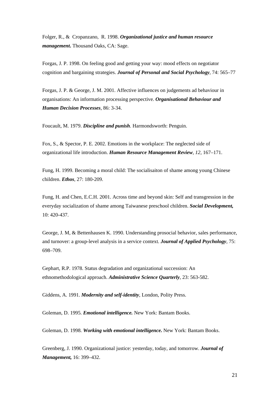Folger, R., & Cropanzano, R. 1998. *Organizational justice and human resource management***.** Thousand Oaks, CA: Sage.

Forgas, J. P. 1998. On feeling good and getting your way: mood effects on negotiator cognition and bargaining strategies. *Journal of Personal and Social Psychology,* 74: 565–77

Forgas, J. P. & George, J. M. 2001. Affective influences on judgements ad behaviour in organisations: An information processing perspective. *Organisational Behaviour and Human Decision Processes*, 86: 3-34.

Foucault, M. 1979. *Discipline and punish*. Harmondsworth: Penguin.

Fox, S., & Spector, P. E. 2002. Emotions in the workplace: The neglected side of organizational life introduction. *Human Resource Management Review, 12,* 167–171.

Fung, H. 1999. Becoming a moral child: The socialisaiton of shame among young Chinese children. *Ethos*, 27: 180-209.

Fung, H. and Chen, E.C.H. 2001. Across time and beyond skin: Self and transgression in the everyday socialization of shame among Taiwanese preschool children. *Social Development,* 10: 420-437.

George, J. M, & Bettenhausen K. 1990. Understanding prosocial behavior, sales performance, and turnover: a group-level analysis in a service context. *Journal of Applied Psychology,* 75: 698–709.

Gephart, R.P. 1978. Status degradation and organizational succession: An ethnomethodological approach. *Administrative Science Quarterly*, 23: 563-582.

Giddens, A. 1991. *Modernity and self-identity*, London, Polity Press.

Goleman, D. 1995. *Emotional intelligence.* New York: Bantam Books.

Goleman, D. 1998. *Working with emotional intelligence.* New York: Bantam Books.

Greenberg, J. 1990. Organizational justice: yesterday, today, and tomorrow. *Journal of Management,* 16: 399–432.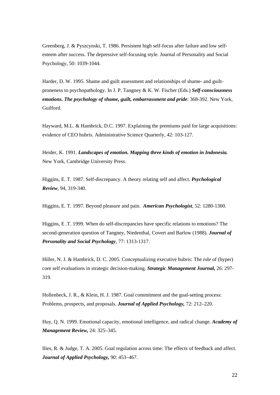Greenberg, J. & Pyszcynski, T. 1986. Persistent high self-focus after failure and low selfesteem after success. The depressive self-focusing style. Journal of Personality and Social Psychology, 50: 1039-1044.

Harder, D. W. 1995. Shame and guilt assessment and relationships of shame- and guiltproneness to psychopathology. In J. P. Tangney & K. W. Fischer (Eds.) *Self-consciousness emotions. The psychology of shame, guilt, embarrassment and pride*: 368-392. New York, Guilford.

Hayward, M.L. & Hambrick, D.C. 1997. Explaining the premiums paid for large acquisitions: evidence of CEO hubris. Administrative Science Quarterly, 42: 103-127.

Heider, K. 1991. *Landscapes of emotion. Mapping three kinds of emotion in Indonesia.* New York, Cambridge University Press.

Higgins, E. T. 1987. Self-discrepancy. A theory relating self and affect. *Psychological Review*, 94, 319-340.

Higgins, E. T. 1997. Beyond pleasure and pain. *American Psychologist*, 52: 1280-1300.

Higgins, E .T. 1999. When do self-discrepancies have specific relations to emotions? The second-generation question of Tangney, Niedenthal, Covert and Barlow (1988). *Journal of Personality and Social Psychology*, 77: 1313-1317.

Hiller, N. J. & Hambrick, D. C. 2005. Conceptualizing executive hubris: The role of (hyper) core self evaluations in strategic decision-making. *Strategic Management Journal,* 26: 297- 319.

Hollenbeck, J. R., & Klein, H. J. 1987. Goal commitment and the goal-setting process: Problems, prospects, and proposals. *Journal of Applied Psychology,* 72: 212–220.

Huy, Q. N. 1999. Emotional capacity, emotional intelligence, and radical change. *Academy of Management Review,* 24: 325–345.

Ilies, R. & Judge, T. A. 2005. Goal regulation across time: The effects of feedback and affect. *Journal of Applied Psychology,* 90: 453–467.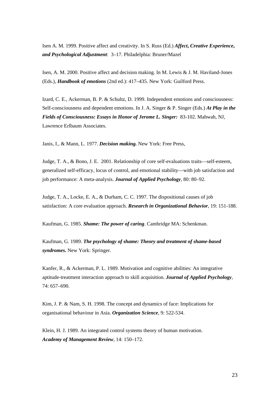Isen A. M. 1999. Positive affect and creativity. In S. Russ (Ed.) *Affect***,** *Creative Experience***,**  *and Psychological Adjustment*: 3–17. Philadelphia: Bruner/Mazel

Isen, A. M. 2000. Positive affect and decision making. In M. Lewis & J. M. Haviland-Jones (Eds.), *Handbook of emotions* (2nd ed.): 417–435. New York: Guilford Press.

Izard, C. E., Ackerman, B. P. & Schultz, D. 1999. Independent emotions and consciousness: Self-consciousness and dependent emotions. In J. A. Singer & P. Singer (Eds.) *At Play in the Fields of Consciousness: Essays in Honor of Jerome L. Singer:* 83-102. Mahwah, NJ, Lawrence Erlbaum Associates.

Janis, I., & Mann, L. 1977. *Decision making.* New York: Free Press,

Judge, T. A., & Bono, J. E. 2001. Relationship of core self-evaluations traits—self-esteem, generalized self-efficacy, locus of control, and emotional stability—with job satisfaction and job performance: A meta-analysis. *Journal of Applied Psychology,* 80: 80–92.

Judge, T. A., Locke, E. A., & Durham, C. C. 1997. The dispositional causes of job satisfaction: A core evaluation approach. *Research in Organizational Behavior*, 19: 151-188.

Kaufman, G. 1985. *Shame: The power of caring*. Cambridge MA: Schenkman.

Kaufman, G. 1989. *The psychology of shame: Theory and treatment of shame-based syndromes.* New York: Springer.

Kanfer, R., & Ackerman, P. L. 1989. Motivation and cognitive abilities: An integrative aptitude-treatment interaction approach to skill acquisition. *Journal of Applied Psychology,*  74: 657–690.

Kim, J. P. & Nam, S. H. 1998. The concept and dynamics of face: Implications for organisational behaviour in Asia. *Organization Science*, 9: 522-534.

Klein, H. J. 1989. An integrated control systems theory of human motivation. *Academy of Management Review,* 14: 150–172.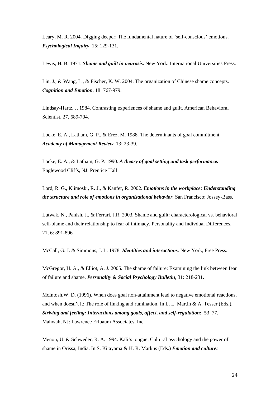Leary, M. R. 2004. Digging deeper: The fundamental nature of `self-conscious' emotions. *Psychological Inquiry*, 15: 129-131.

Lewis, H. B. 1971. *Shame and guilt in neurosis.* New York: International Universities Press.

Lin, J., & Wang, L., & Fischer, K. W. 2004. The organization of Chinese shame concepts. *Cognition and Emotion*, 18: 767-979.

Lindsay-Hartz, J. 1984. Contrasting experiences of shame and guilt. American Behavioral Scientist, 27, 689-704.

Locke, E. A., Latham, G. P., & Erez, M. 1988. The determinants of goal commitment. *Academy of Management Review,* 13: 23-39.

Locke, E. A., & Latham, G. P. 1990. *A theory of goal setting and task performance.* Englewood Cliffs, NJ: Prentice Hall

Lord, R. G., Klimoski, R. J., & Kanfer, R. 2002. *Emotions in the workplace: Understanding the structure and role of emotions in organizational behavior.* San Francisco: Jossey-Bass.

Lutwak, N., Panish, J., & Ferrari, J.R. 2003. Shame and guilt: characterological vs. behavioral self-blame and their relationship to fear of intimacy. Personality and Indivdual Differences, 21, 6: 891-896.

McCall, G. J. & Simmons, J. L. 1978. *Identities and interactions*. New York, Free Press.

McGregor, H. A., & Elliot, A. J. 2005. The shame of failure: Examining the link between fear of failure and shame. *Personality & Social Psychology Bulletin*, 31: 218-231.

McIntosh,W. D. (1996). When does goal non-attainment lead to negative emotional reactions, and when doesn't it: The role of linking and rumination. In L. L. Martin & A. Tesser (Eds.), *Striving and feeling: Interactions among goals, affect, and self-regulation:* 53–77*.*  Mahwah, NJ: Lawrence Erlbaum Associates, Inc

Menon, U. & Schweder, R. A. 1994. Kali's tongue. Cultural psychology and the power of shame in Orissa, India. In S. Kitayama & H. R. Markus (Eds.) *Emotion and culture:*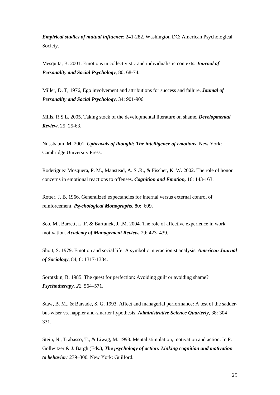*Empirical studies of mutual influence*: 241-282. Washington DC: American Psychological Society.

Mesquita, B. 2001. Emotions in collectivistic and individualistic contexts. *Journal of Personality and Social Psychology*, 80: 68-74.

Miller, D. T, 1976, Ego involvement and attributions for success and failure, *Joumal of Personality and Social Psychology,* 34: 901-906.

Mills, R.S.L. 2005. Taking stock of the developmental literature on shame. *Developmental Review*, 25: 25-63.

Nussbaum, M. 2001. *Upheavals of thought: The intelligence of emotions*. New York: Cambridge University Press.

Roderiguez Mosquera, P. M., Manstead, A. S .R., & Fischer, K. W. 2002. The role of honor concerns in emotional reactions to offenses. *Cognition and Emotion,* 16: 143-163.

Rotter, J. B. 1966. Generalized expectancies for internal versus external control of reinforcement. *Psychological Monographs,* 80: 609.

Seo, M., Barrett, L .F. & Bartunek, J. .M. 2004. The role of affective experience in work motivation. *Academy of Management Review,* 29: 423–439.

Shott, S. 1979. Emotion and social life: A symbolic interactionist analysis. *American Journal of Sociology*, 84, 6: 1317-1334.

Sorotzkin, B. 1985. The quest for perfection: Avoiding guilt or avoiding shame? *Psychotherapy, 22,* 564–571.

Staw, B. M., & Barsade, S. G. 1993. Affect and managerial performance: A test of the sadderbut-wiser vs. happier and-smarter hypothesis. *Administrative Science Quarterly,* 38: 304– 331.

Stein, N., Trabasso, T., & Liwag, M. 1993. Mental stimulation, motivation and action. In P. Gollwitzer & J. Bargh (Eds.), *The psychology of action: Linking cognition and motivation to behavior:* 279–300*.* New York: Guilford.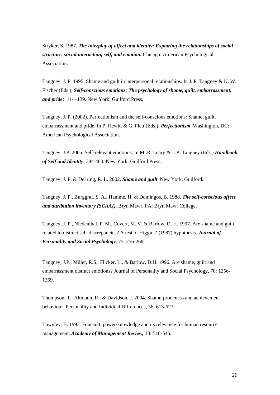Stryker, S. 1987. *The interplay of affect and identity: Exploring the relationships of social structure, social interaction, self, and emotion.* Chicago: American Psychological Association.

Tangney, J. P. 1995. Shame and guilt in interpersonal relationships. In J. P. Tangney & K. W. Fischer (Eds.), *Self-conscious emotions: The psychology of shame, guilt, embarrassment, and pride:* 114–139. New York: Guilford Press.

Tangney, J. P. (2002). Perfectionism and the self-conscious emotions: Shame, guilt, embarrassment and pride. In P. Hewitt & G. Flett (Eds.), *Perfectionism***.** Washington, DC: American Psychological Association.

Tangney, J.P. 2005. Self-relevant emotions. In M .R. Leary & J. P. Tangney (Eds.) *Handbook of Self and Identity*: 384-400. New York: Guilford Press.

Tangney, J. P. & Dearing, R. L. 2002. *Shame and guilt*. New York, Guilford.

Tangney, J. P., Burggraf, S. A., Hamme, H. & Domingos, B. 1988. *The self-conscious affect and attribution inventory (SCAAI).* Bryn Mawr, PA: Bryn Mawr College.

Tangney, J. P., Niedenthal, P. M., Covert, M. V. & Barlow, D. H. 1997. Are shame and guilt related to distinct self-discrepancies? A test of Higgins' (1987) hypothesis. *Journal of Personality and Social Psychology*, 75: 256-268.

Tangney, J.P., Miller, R.S., Flicker, L., & Barlow, D.H. 1996. Are shame, guilt and embarrassment distinct emotions? Journal of Personality and Social Psychology, 70: 1256- 1269.

Thompson, T., Altmann, R., & Davidson, J. 2004. Shame-proneness and achievement behaviour. Personality and Individual Differences, 36: 613-627.

Townley, B. 1993. Foucault, power/knowledge and its relevance for human resource management. *Academy of Management Review,* 18: 518-545.